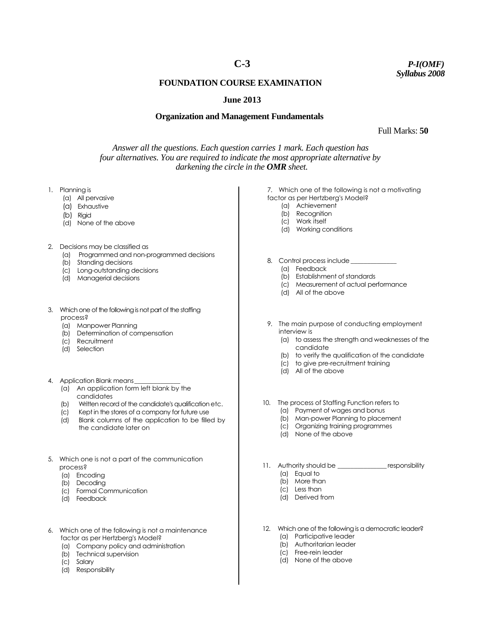# **C-3**

*P-I(OMF) Syllabus 2008*

## **FOUNDATION COURSE EXAMINATION**

## **June 2013**

#### **Organization and Management Fundamentals**

Full Marks: **50**

*Answer all the questions. Each question carries 1 mark. Each question has four alternatives. You are required to indicate the most appropriate alternative by darkening the circle in the OMR sheet.*

- 1. Planning is
	- (a)All pervasive
	- (a) Exhaustive
	- (b) Rigid
	- (d) None of the above
- 2. Decisions may be classified as
	- (a) Programmed and non-programmed decisions
	- (b) Standing decisions
	- (c) Long-outstanding decisions
	- (d) Managerial decisions
- 3. Which one of the following is not part of the staffing process?
	- (a) Manpower Planning
	- (b) Determination of compensation
	- (c) Recruitment
	- (d) Selection
- 4. Application Blank means\_
	- (a) An application form left blank by the candidates
	- (b) Written record of the candidate's qualification etc.
	- (c) Kept in the stores of a company for future use
	- (d) Blank columns of the application to be filled by the candidate later on
- 5. Which one is not a part of the communication process?
	- (a) Encoding
	- (b) Decoding
	- (c) Formal Communication
	- (d) Feedback
- 6. Which one of the following is not a maintenance factor as per Hertzberg's Model?
	- (a) Company policy and administration
	- (b) Technical supervision
	- (c) Salary
	- (d) Responsibility
- 7. Which one of the following is not a motivating factor as per Hertzberg's Model?
	- (a) Achievement
- 8. Control process include
	- (a) Feedback
	- (b) Establishment of standards
	- (c) Measurement of actual performance
	- (d) All of the above
- 9. The main purpose of conducting employment interview is
	- (a) to assess the strength and weaknesses of the candidate
	- (b) to verify the qualification of the candidate
	- (c) to give pre-recruitment training
	- (d) All of the above
- 10. The process of Staffing Function refers to
	- (a) Payment of wages and bonus
	- (b) Man-power Planning to placement
	- (c) Organizing training programmes
	- (d) None of the above
- 11. Authority should be \_\_\_\_\_\_\_\_\_\_\_\_\_\_\_\_\_ responsibility
	- (a) Equal to
	- (b) More than (c) Less than
	- (d) Derived from
	-
- 12. Which one of the following is a democratic leader?
	- (a) Participative leader
	- (b) Authoritarian leader (c) Free-rein leader
	-
	- (d) None of the above
- 
- (b) Recognition (c) Work itself (d) Working conditions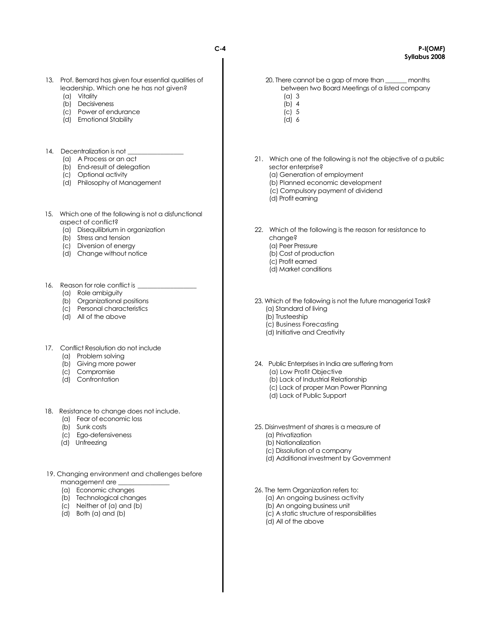- 13. Prof. Bernard has given four essential qualities of leadership. Which one he has not given?
	- (a) Vitality
	- (b) Decisiveness
	- (c) Power of endurance
	- (d) Emotional Stability
- 14. Decentralization is not
	- (a) A Process or an act
	- (b) End-result of delegation
	- (c) Optional activity
	- (d) Philosophy of Management
- 15. Which one of the following is not a disfunctional aspect of conflict?
	- (a) Disequilibrium in organization
	- (b) Stress and tension
	- (c) Diversion of energy
	- (d) Change without notice
- 16. Reason for role conflict is
	- (a) Role ambiguity
	- (b) Organizational positions
	- (c) Personal characteristics
	- (d) All of the above
- 17. Conflict Resolution do not include
	- (a) Problem solving
	- (b) Giving more power
	- (c) Compromise
	- (d) Confrontation
- 18. Resistance to change does not include.
	- (a) Fear of economic loss
	- (b) Sunk costs
	- (c) Ego-defensiveness
	- (d) Unfreezing
- 19. Changing environment and challenges before management are
	- (a) Economic changes
	- (b) Technological changes
	- (c) Neither of (a) and (b)
	- (d) Both (a) and (b)
- 20. There cannot be a gap of more than \_\_\_\_\_\_\_ months between two Board Meetings of a listed company
	- $(a)$  3 (b) 4
	- $(c)$  5
	- (d) 6
- 21. Which one of the following is not the objective of a public sector enterprise? (a) Generation of employment
	- (b) Planned economic development
	- (c) Compulsory payment of dividend
	- (d) Profit earning
- 22. Which of the following is the reason for resistance to change? (a) Peer Pressure (b) Cost of production (c) Profit earned (d) Market conditions
- 23. Which of the following is not the future managerial Task? (a) Standard of living (b) Trusteeship
	- (c) Business Forecasting
	- (d) Initiative and Creativity
- 24. Public Enterprises in India are suffering from (a) Low Profit Objective (b) Lack of Industrial Relationship (c) Lack of proper Man Power Planning (d) Lack of Public Support
- 25. Disinvestment of shares is a measure of
	- (a) Privatization
	- (b) Nationalization
	- (c) Dissolution of a company
	- (d) Additional investment by Government
- 26. The term Organization refers to:
	- (a) An ongoing business activity
	- (b) An ongoing business unit
	- (c) A static structure of responsibilities
	- (d) All of the above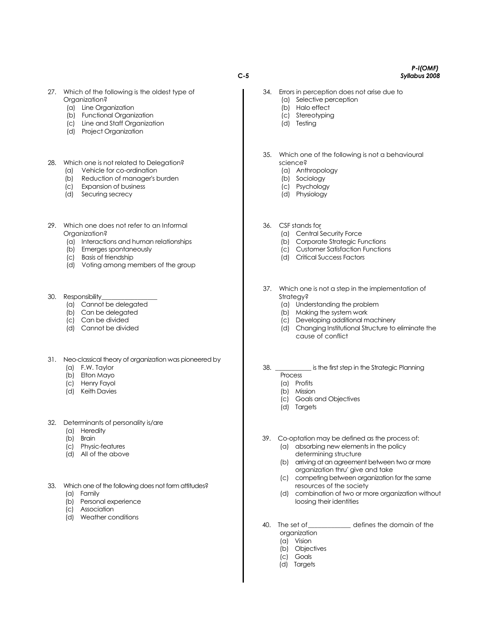**C-5**

- 27. Which of the following is the oldest type of Organization?
	- (a) Line Organization
	- (b) Functional Organization
	- (c) Line and Staff Organization
	- (d) Project Organization

#### 28. Which one is not related to Delegation?

- (a) Vehicle for co-ordination
- (b) Reduction of manager's burden
- (c) Expansion of business
- (d) Securing secrecy
- 29. Which one does not refer to an Informal Organization?
	- (a) Interactions and human relationships
	- (b) Emerges spontaneously
	- (c) Basis of friendship
	- (d) Voting among members of the group
- 30. Responsibility
	- (a) Cannot be delegated
	- (b) Can be delegated
	- (c) Can be divided
	- (d) Cannot be divided
- 31. Neo-classical theory of organization was pioneered by
	- (a) F.W. Taylor
	- (b) Elton Mayo
	- (c) Henry Fayol
	- (d) Keith Davies
- 32. Determinants of personality is/are
	- (a) Heredity
	- (b) Brain
	- (c) Physic-features
	- (d) All of the above
- 33. Which one of the following does not form attitudes?
	- (a) Family
	- (b) Personal experience
	- (c) Association
	- (d) Weather conditions
- 34. Errors in perception does not arise due to (a) Selective perception
	- (b) Halo effect
	- (c) Stereotyping
	- (d) Testing
- 35. Which one of the following is not a behavioural science?
	- (a) Anthropology
	- (b) Sociology
	- (c) Psychology
	- (d) Physiology
- 36. CSF stands for
	- (a) Central Security Force
	- (b) Corporate Strategic Functions
	- (c) Customer Satisfaction Functions
	- (d) Critical Success Factors
- 37. Which one is not a step in the implementation of Strategy?
	- (a) Understanding the problem
	- (b) Making the system work
	- (c) Developing additional machinery
	- (d) Changing Institutional Structure to eliminate the cause of conflict
- 38. \_\_\_\_\_\_\_\_\_\_\_ is the first step in the Strategic Planning
	- Process
	- (a) Profits
	- (b) Mission
	- (c) Goals and Objectives
	- (d) Targets
- 39. Co-optation may be defined as the process of: (a) absorbing new elements in the policy determining structure
	- (b) arriving at an agreement between two or more organization thru' give and take
	- (c) competing between organization for the same resources of the society
	- (d) combination of two or more organization without loosing their identities
- 40. The set of\_\_\_\_\_\_\_\_\_\_\_\_\_ defines the domain of the organization
	- (a) Vision
	- (b) Objectives
	- (c) Goals
	- (d) Targets

#### *P-l(OMF) Syllabus 2008*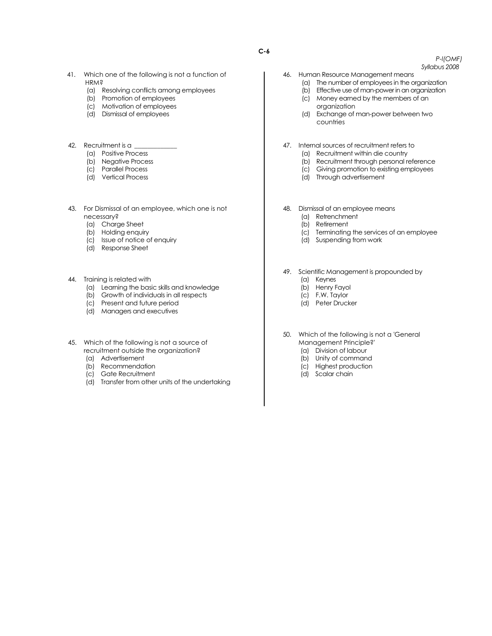- 41. Which one of the following is not a function of **HRM?** 
	- (a) Resolving conflicts among employees
	- (b) Promotion of employees
	- (c) Motivation of employees
	- (d) Dismissal of employees
- 42. Recruitment is a \_
	- (a) Positive Process
	- (b) Negative Process
	- (c) Parallel Process
	- (d) Vertical Process
- 43. For Dismissal of an employee, which one is not necessary?
	- (a) Charge Sheet
	- (b) Holding enquiry
	- (c) Issue of notice of enquiry
	- (d) Response Sheet
- 44. Training is related with
	- (a) Learning the basic skills and knowledge
	- (b) Growth of individuals in all respects
	- (c) Present and future period
	- (d) Managers and executives
- 45. Which of the following is not a source of recruitment outside the organization?
	- (a) Advertisement
	- (b) Recommendation
	- (c) Gate Recruitment
	- (d) Transfer from other units of the undertaking
- 46. Human Resource Management means
	- (a) The number of employees in the organization
	- (b) Effective use of man-power in an organization
	- (c) Money earned by the members of an organization
	- (d) Exchange of man-power between two countries
- 47. Internal sources of recruitment refers to
	- (a) Recruitment within die country
		- (b) Recruitment through personal reference
		- (c) Giving promotion to existing employees
		- (d) Through advertisement
- 48. Dismissal of an employee means
	- (a) Retrenchment
	- (b) Retirement
	- (c) Terminating the services of an employee
	- (d) Suspending from work
- 49. Scientific Management is propounded by
	- (a) Keynes
	- (b) Henry Fayol
	- (c) F.W. Taylor
	- (d) Peter Drucker
- 50. Which of the following is not a 'General Management Principle?'
	- (a) Division of labour
	- (b) Unity of command
	- (c) Highest production
	- (d) Scalar chain
	-

*P-l(OMF) Syllabus 2008*